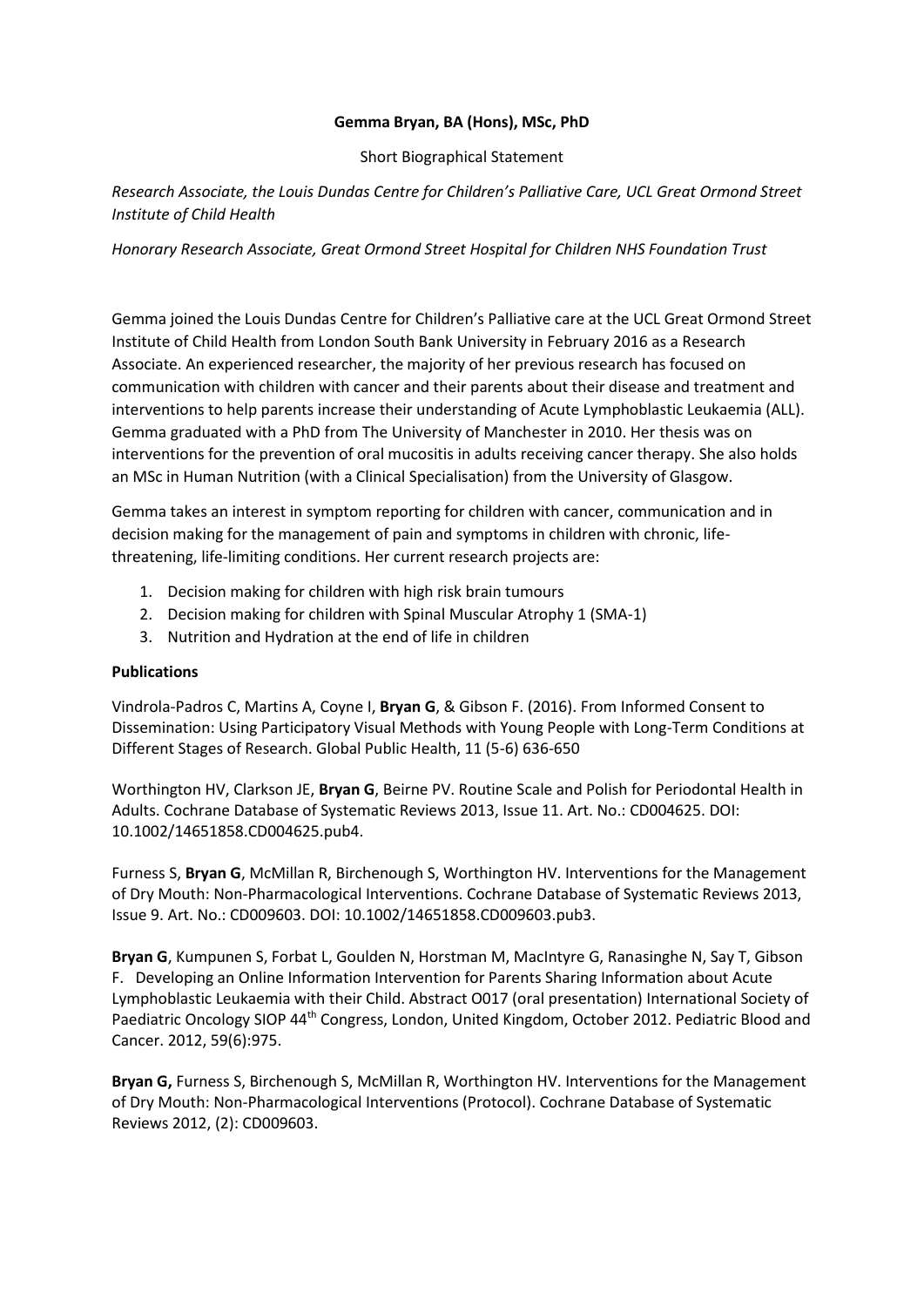## **Gemma Bryan, BA (Hons), MSc, PhD**

Short Biographical Statement

*Research Associate, the Louis Dundas Centre for Children's Palliative Care, UCL Great Ormond Street Institute of Child Health*

*Honorary Research Associate, Great Ormond Street Hospital for Children NHS Foundation Trust*

Gemma joined the Louis Dundas Centre for Children's Palliative care at the UCL Great Ormond Street Institute of Child Health from London South Bank University in February 2016 as a Research Associate. An experienced researcher, the majority of her previous research has focused on communication with children with cancer and their parents about their disease and treatment and interventions to help parents increase their understanding of Acute Lymphoblastic Leukaemia (ALL). Gemma graduated with a PhD from The University of Manchester in 2010. Her thesis was on interventions for the prevention of oral mucositis in adults receiving cancer therapy. She also holds an MSc in Human Nutrition (with a Clinical Specialisation) from the University of Glasgow.

Gemma takes an interest in symptom reporting for children with cancer, communication and in decision making for the management of pain and symptoms in children with chronic, lifethreatening, life-limiting conditions. Her current research projects are:

- 1. Decision making for children with high risk brain tumours
- 2. Decision making for children with Spinal Muscular Atrophy 1 (SMA-1)
- 3. Nutrition and Hydration at the end of life in children

## **Publications**

Vindrola-Padros C, Martins A, Coyne I, **Bryan G**, & Gibson F. (2016). From Informed Consent to Dissemination: Using Participatory Visual Methods with Young People with Long-Term Conditions at Different Stages of Research. Global Public Health, 11 (5-6) 636-650

Worthington HV, Clarkson JE, **Bryan G**, Beirne PV. Routine Scale and Polish for Periodontal Health in Adults. Cochrane Database of Systematic Reviews 2013, Issue 11. Art. No.: CD004625. DOI: 10.1002/14651858.CD004625.pub4.

Furness S, **Bryan G**, McMillan R, Birchenough S, Worthington HV. Interventions for the Management of Dry Mouth: Non-Pharmacological Interventions. Cochrane Database of Systematic Reviews 2013, Issue 9. Art. No.: CD009603. DOI: 10.1002/14651858.CD009603.pub3.

**Bryan G**, Kumpunen S, Forbat L, Goulden N, Horstman M, MacIntyre G, Ranasinghe N, Say T, Gibson F. Developing an Online Information Intervention for Parents Sharing Information about Acute Lymphoblastic Leukaemia with their Child. Abstract O017 (oral presentation) International Society of Paediatric Oncology SIOP 44<sup>th</sup> Congress, London, United Kingdom, October 2012. Pediatric Blood and Cancer. 2012, 59(6):975.

**Bryan G,** Furness S, Birchenough S, McMillan R, Worthington HV. Interventions for the Management of Dry Mouth: Non-Pharmacological Interventions (Protocol). Cochrane Database of Systematic Reviews 2012, (2): CD009603.